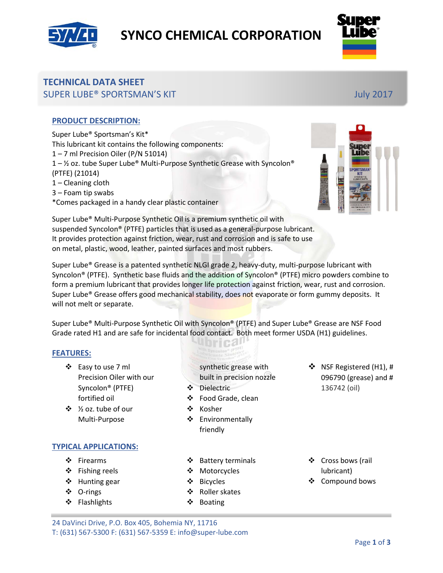

# **SYNCO CHEMICAL CORPORATION**



## **TECHNICAL DATA SHEET** SUPER LUBE® SPORTSMAN'S KIT July 2017

### **PRODUCT DESCRIPTION:**

Super Lube® Sportsman's Kit\* This lubricant kit contains the following components: 1 – 7 ml Precision Oiler (P/N 51014)  $1 - \frac{1}{2}$  oz. tube Super Lube® Multi-Purpose Synthetic Grease with Syncolon® (PTFE) (21014) 1 – Cleaning cloth 3 – Foam tip swabs \*Comes packaged in a handy clear plastic container



Super Lube® Multi-Purpose Synthetic Oil is a premium synthetic oil with suspended Syncolon® (PTFE) particles that is used as a general-purpose lubricant. It provides protection against friction, wear, rust and corrosion and is safe to use on metal, plastic, wood, leather, painted surfaces and most rubbers.

Super Lube® Grease is a patented synthetic NLGI grade 2, heavy-duty, multi-purpose lubricant with Syncolon® (PTFE). Synthetic base fluids and the addition of Syncolon® (PTFE) micro powders combine to form a premium lubricant that provides longer life protection against friction, wear, rust and corrosion. Super Lube® Grease offers good mechanical stability, does not evaporate or form gummy deposits. It will not melt or separate.

Super Lube® Multi-Purpose Synthetic Oil with Syncolon® (PTFE) and Super Lube® Grease are NSF Food Grade rated H1 and are safe for incidental food contact. Both meet former USDA (H1) guidelines.

<u>Ibrica!</u>

#### **FEATURES:**

- Easy to use 7 ml Precision Oiler with our Syncolon® (PTFE) fortified oil
- ½ oz. tube of our Multi-Purpose

#### **TYPICAL APPLICATIONS:**

- ❖ Firearms
- ❖ Fishing reels
- ❖ Hunting gear
- O-rings
- ❖ Flashlights

❖ Food Grade, clean ❖ Kosher

synthetic grease with built in precision nozzle

❖ Environmentally friendly

Dielectric

- ❖ Battery terminals
- Motorcycles
- Bicycles
- ❖ Roller skates
- ❖ Boating

❖ Cross bows (rail lubricant)

❖ NSF Registered (H1), # 096790 (grease) and #

136742 (oil)

❖ Compound bows

24 DaVinci Drive, P.O. Box 405, Bohemia NY, 11716 T: (631) 567-5300 F: (631) 567-5359 E: info@super-lube.com

Page **1** of **3**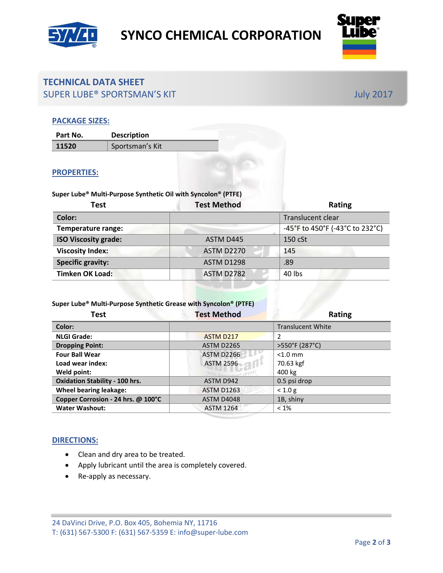



## **TECHNICAL DATA SHEET** SUPER LUBE® SPORTSMAN'S KIT July 2017

#### **PACKAGE SIZES:**

| Part No. | <b>Description</b> |
|----------|--------------------|
| 11520    | Sportsman's Kit    |

#### **PROPERTIES:**

## **Super Lube® Multi-Purpose Synthetic Oil with Syncolon® (PTFE) Test Test Method Rating Color:** Translucent clear **Temperature range:**  $-45^{\circ}$ F to  $450^{\circ}$ F (-43 $^{\circ}$ C to 232 $^{\circ}$ C) **ISO Viscosity grade:** ASTM D445 150 cSt **Viscosity Index:** ASTM D2270 145 **Specific gravity:** ASTM D1298 .89 **Timken OK Load:** ASTM D2782 40 lbs

#### **Super Lube® Multi-Purpose Synthetic Grease with Syncolon® (PTFE)**

| <b>Test</b>                           | <b>Test Method</b> | <b>Rating</b>            |
|---------------------------------------|--------------------|--------------------------|
| Color:                                |                    | <b>Translucent White</b> |
| <b>NLGI Grade:</b>                    | ASTM D217          | 2                        |
| <b>Dropping Point:</b>                | <b>ASTM D2265</b>  | >550°F (287°C)           |
| <b>Four Ball Wear</b>                 | <b>ASTM D2266</b>  | $< 1.0$ mm               |
| Load wear index:                      | <b>ASTM 2596</b>   | 70.63 kgf                |
| Weld point:                           |                    | 400 kg                   |
| <b>Oxidation Stability - 100 hrs.</b> | ASTM D942          | 0.5 psi drop             |
| <b>Wheel bearing leakage:</b>         | <b>ASTM D1263</b>  | < 1.0 g                  |
| Copper Corrosion - 24 hrs. @ 100°C    | <b>ASTM D4048</b>  | 1B, shiny                |
| <b>Water Washout:</b>                 | <b>ASTM 1264</b>   | $< 1\%$                  |

#### **DIRECTIONS:**

- Clean and dry area to be treated.
- Apply lubricant until the area is completely covered.
- Re-apply as necessary.